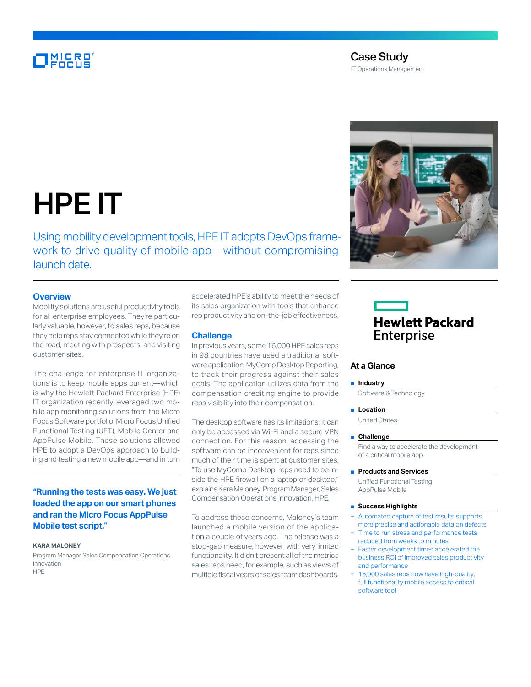## MICRO<br>FOCUS

### Case Study

IT Operations Management



# HPE IT

Using mobility development tools, HPE IT adopts DevOps framework to drive quality of mobile app—without compromising launch date.

#### **Overview**

Mobility solutions are useful productivity tools for all enterprise employees. They're particularly valuable, however, to sales reps, because they help reps stay connected while they're on the road, meeting with prospects, and visiting customer sites.

The challenge for enterprise IT organizations is to keep mobile apps current—which is why the Hewlett Packard Enterprise (HPE) IT organization recently leveraged two mobile app monitoring solutions from the Micro Focus Software portfolio: Micro Focus Unified Functional Testing (UFT), Mobile Center and AppPulse Mobile. These solutions allowed HPE to adopt a DevOps approach to building and testing a new mobile app—and in turn

#### **"Running the tests was easy. We just loaded the app on our smart phones and ran the Micro Focus AppPulse Mobile test script."**

#### **KARA MALONEY**

Program Manager Sales Compensation Operations Innovation **HPE** 

accelerated HPE's ability to meet the needs of its sales organization with tools that enhance rep productivity and on-the-job effectiveness.

#### **Challenge**

In previous years, some 16,000 HPE sales reps in 98 countries have used a traditional software application, MyComp Desktop Reporting, to track their progress against their sales goals. The application utilizes data from the compensation crediting engine to provide reps visibility into their compensation.

The desktop software has its limitations; it can only be accessed via Wi-Fi and a secure VPN connection. For this reason, accessing the software can be inconvenient for reps since much of their time is spent at customer sites. "To use MyComp Desktop, reps need to be inside the HPE firewall on a laptop or desktop," explains Kara Maloney, Program Manager, Sales Compensation Operations Innovation, HPE.

To address these concerns, Maloney's team launched a mobile version of the application a couple of years ago. The release was a stop-gap measure, however, with very limited functionality. It didn't present all of the metrics sales reps need, for example, such as views of multiple fiscal years or sales team dashboards.

## **Hewlett Packard** Enterprise

#### **At a Glance**

#### ■ **Industry**

Software & Technology

■ **Location** 

United States

#### ■ **Challenge**

Find a way to accelerate the development of a critical mobile app.

#### ■ **Products and Services**

Unified Functional Testing AppPulse Mobile

#### ■ **Success Highlights**

- Automated capture of test results supports more precise and actionable data on defects
- Time to run stress and performance tests reduced from weeks to minutes
- Faster development times accelerated the business ROI of improved sales productivity and performance
- + 16,000 sales reps now have high-quality, full functionality mobile access to critical software tool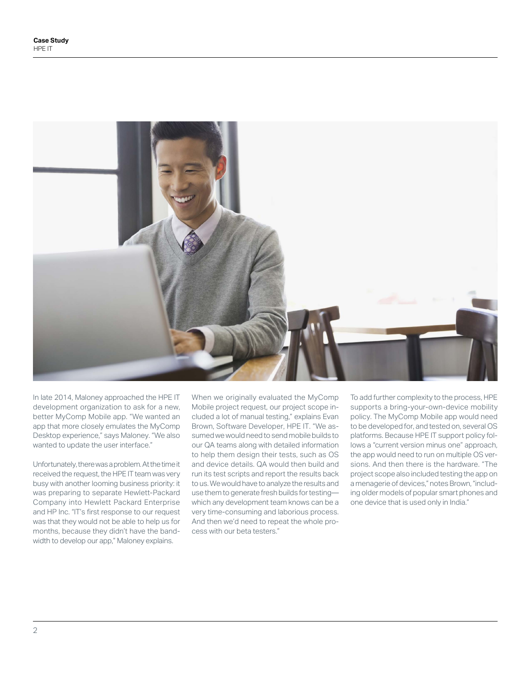

In late 2014, Maloney approached the HPE IT development organization to ask for a new, better MyComp Mobile app. "We wanted an app that more closely emulates the MyComp Desktop experience," says Maloney. "We also wanted to update the user interface."

Unfortunately, there was a problem. At the time it received the request, the HPE IT team was very busy with another looming business priority: it was preparing to separate Hewlett-Packard Company into Hewlett Packard Enterprise and HP Inc. "IT's first response to our request was that they would not be able to help us for months, because they didn't have the bandwidth to develop our app," Maloney explains.

When we originally evaluated the MyComp Mobile project request, our project scope included a lot of manual testing," explains Evan Brown, Software Developer, HPE IT. "We assumed we would need to send mobile builds to our QA teams along with detailed information to help them design their tests, such as OS and device details. QA would then build and run its test scripts and report the results back to us. We would have to analyze the results and use them to generate fresh builds for testing which any development team knows can be a very time-consuming and laborious process. And then we'd need to repeat the whole process with our beta testers."

To add further complexity to the process, HPE supports a bring-your-own-device mobility policy. The MyComp Mobile app would need to be developed for, and tested on, several OS platforms. Because HPE IT support policy follows a "current version minus one" approach, the app would need to run on multiple OS versions. And then there is the hardware. "The project scope also included testing the app on a menagerie of devices," notes Brown, "including older models of popular smart phones and one device that is used only in India."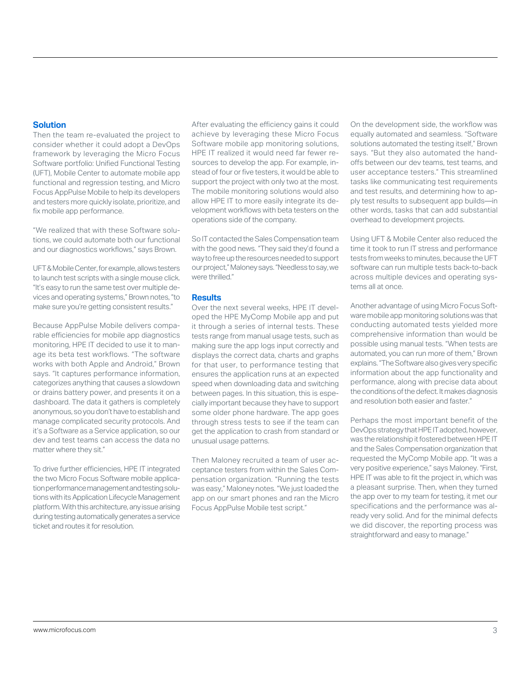#### **Solution**

Then the team re-evaluated the project to consider whether it could adopt a DevOps framework by leveraging the Micro Focus Software portfolio: Unified Functional Testing (UFT), Mobile Center to automate mobile app functional and regression testing, and Micro Focus AppPulse Mobile to help its developers and testers more quickly isolate, prioritize, and fix mobile app performance.

"We realized that with these Software solutions, we could automate both our functional and our diagnostics workflows," says Brown.

UFT & Mobile Center, for example, allows testers to launch test scripts with a single mouse click. "It's easy to run the same test over multiple devices and operating systems," Brown notes, "to make sure you're getting consistent results."

Because AppPulse Mobile delivers comparable efficiencies for mobile app diagnostics monitoring, HPE IT decided to use it to manage its beta test workflows. "The software works with both Apple and Android," Brown says. "It captures performance information, categorizes anything that causes a slowdown or drains battery power, and presents it on a dashboard. The data it gathers is completely anonymous, so you don't have to establish and manage complicated security protocols. And it's a Software as a Service application, so our dev and test teams can access the data no matter where they sit."

To drive further efficiencies, HPE IT integrated the two Micro Focus Software mobile application performance management and testing solutions with its Application Lifecycle Management platform. With this architecture, any issue arising during testing automatically generates a service ticket and routes it for resolution.

After evaluating the efficiency gains it could achieve by leveraging these Micro Focus Software mobile app monitoring solutions, HPE IT realized it would need far fewer resources to develop the app. For example, instead of four or five testers, it would be able to support the project with only two at the most. The mobile monitoring solutions would also allow HPE IT to more easily integrate its development workflows with beta testers on the operations side of the company.

So IT contacted the Sales Compensation team with the good news. "They said they'd found a way to free up the resources needed to support our project," Maloney says. "Needless to say, we were thrilled."

#### **Results**

Over the next several weeks, HPE IT developed the HPE MyComp Mobile app and put it through a series of internal tests. These tests range from manual usage tests, such as making sure the app logs input correctly and displays the correct data, charts and graphs for that user, to performance testing that ensures the application runs at an expected speed when downloading data and switching between pages. In this situation, this is especially important because they have to support some older phone hardware. The app goes through stress tests to see if the team can get the application to crash from standard or unusual usage patterns.

Then Maloney recruited a team of user acceptance testers from within the Sales Compensation organization. "Running the tests was easy," Maloney notes. "We just loaded the app on our smart phones and ran the Micro Focus AppPulse Mobile test script."

On the development side, the workflow was equally automated and seamless. "Software solutions automated the testing itself," Brown says. "But they also automated the handoffs between our dev teams, test teams, and user acceptance testers." This streamlined tasks like communicating test requirements and test results, and determining how to apply test results to subsequent app builds—in other words, tasks that can add substantial overhead to development projects.

Using UFT & Mobile Center also reduced the time it took to run IT stress and performance tests from weeks to minutes, because the UFT software can run multiple tests back-to-back across multiple devices and operating systems all at once.

Another advantage of using Micro Focus Software mobile app monitoring solutions was that conducting automated tests yielded more comprehensive information than would be possible using manual tests. "When tests are automated, you can run more of them," Brown explains. "The Software also gives very specific information about the app functionality and performance, along with precise data about the conditions of the defect. It makes diagnosis and resolution both easier and faster."

Perhaps the most important benefit of the DevOps strategy that HPE IT adopted, however, was the relationship it fostered between HPE IT and the Sales Compensation organization that requested the MyComp Mobile app. "It was a very positive experience," says Maloney. "First, HPE IT was able to fit the project in, which was a pleasant surprise. Then, when they turned the app over to my team for testing, it met our specifications and the performance was already very solid. And for the minimal defects we did discover, the reporting process was straightforward and easy to manage."